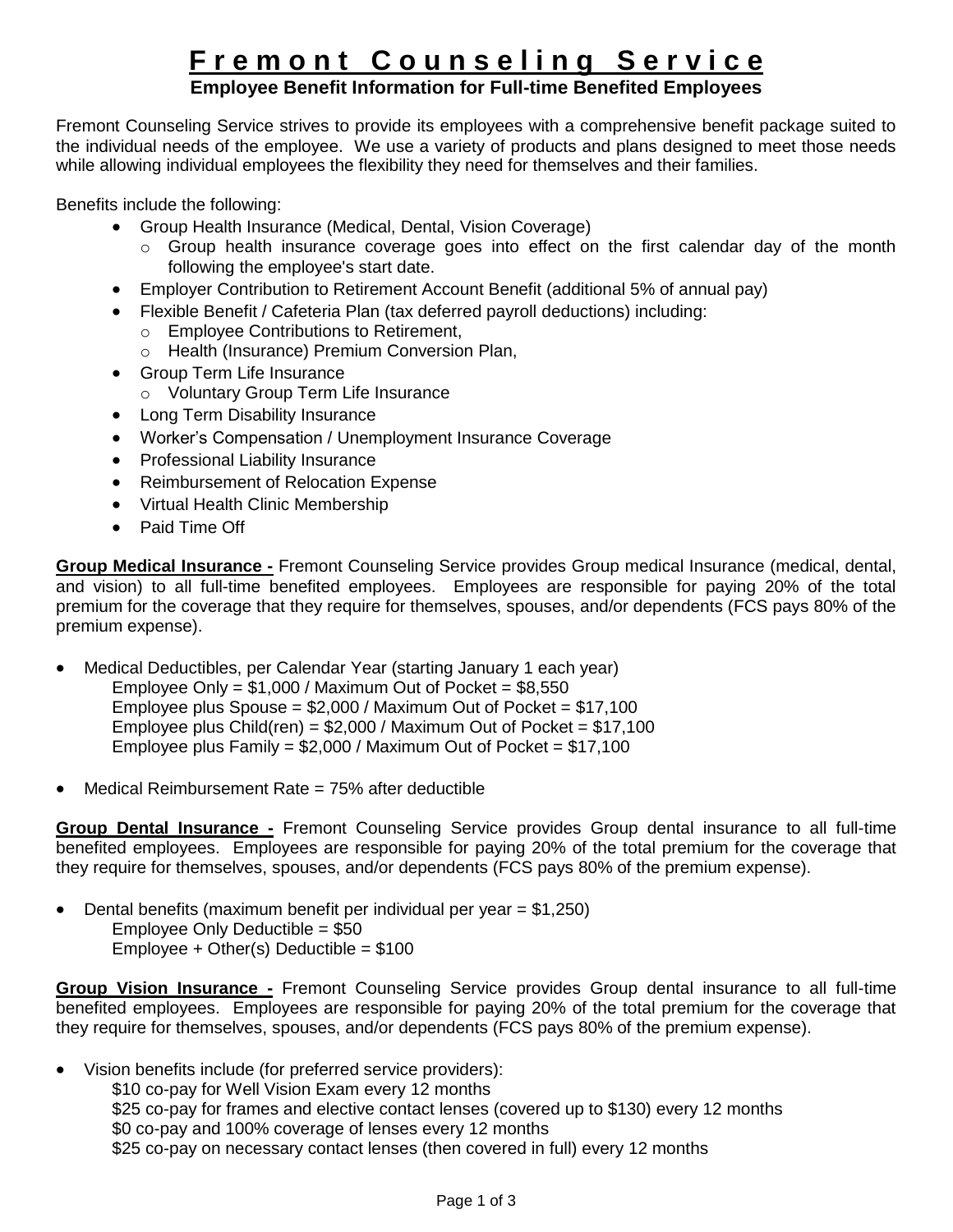# **F r e m o n t C o u n s e l i n g S e r v i c e**

## **Employee Benefit Information for Full-time Benefited Employees**

Fremont Counseling Service strives to provide its employees with a comprehensive benefit package suited to the individual needs of the employee. We use a variety of products and plans designed to meet those needs while allowing individual employees the flexibility they need for themselves and their families.

Benefits include the following:

- Group Health Insurance (Medical, Dental, Vision Coverage)
	- o Group health insurance coverage goes into effect on the first calendar day of the month following the employee's start date.
- Employer Contribution to Retirement Account Benefit (additional 5% of annual pay)
- Flexible Benefit / Cafeteria Plan (tax deferred payroll deductions) including:
	- o Employee Contributions to Retirement,
	- o Health (Insurance) Premium Conversion Plan,
- Group Term Life Insurance
	- o Voluntary Group Term Life Insurance
- Long Term Disability Insurance
- Worker's Compensation / Unemployment Insurance Coverage
- Professional Liability Insurance
- Reimbursement of Relocation Expense
- Virtual Health Clinic Membership
- Paid Time Off

**Group Medical Insurance -** Fremont Counseling Service provides Group medical Insurance (medical, dental, and vision) to all full-time benefited employees. Employees are responsible for paying 20% of the total premium for the coverage that they require for themselves, spouses, and/or dependents (FCS pays 80% of the premium expense).

 Medical Deductibles, per Calendar Year (starting January 1 each year) Employee Only =  $$1,000$  / Maximum Out of Pocket =  $$8,550$ Employee plus Spouse =  $$2,000$  / Maximum Out of Pocket =  $$17.100$ Employee plus Child(ren) =  $$2,000$  / Maximum Out of Pocket =  $$17,100$ Employee plus Family =  $$2,000$  / Maximum Out of Pocket =  $$17,100$ 

Medical Reimbursement Rate = 75% after deductible

**Group Dental Insurance -** Fremont Counseling Service provides Group dental insurance to all full-time benefited employees. Employees are responsible for paying 20% of the total premium for the coverage that they require for themselves, spouses, and/or dependents (FCS pays 80% of the premium expense).

 $\bullet$  Dental benefits (maximum benefit per individual per year = \$1,250) Employee Only Deductible = \$50 Employee + Other(s) Deductible =  $$100$ 

**Group Vision Insurance -** Fremont Counseling Service provides Group dental insurance to all full-time benefited employees. Employees are responsible for paying 20% of the total premium for the coverage that they require for themselves, spouses, and/or dependents (FCS pays 80% of the premium expense).

 Vision benefits include (for preferred service providers): \$10 co-pay for Well Vision Exam every 12 months \$25 co-pay for frames and elective contact lenses (covered up to \$130) every 12 months \$0 co-pay and 100% coverage of lenses every 12 months \$25 co-pay on necessary contact lenses (then covered in full) every 12 months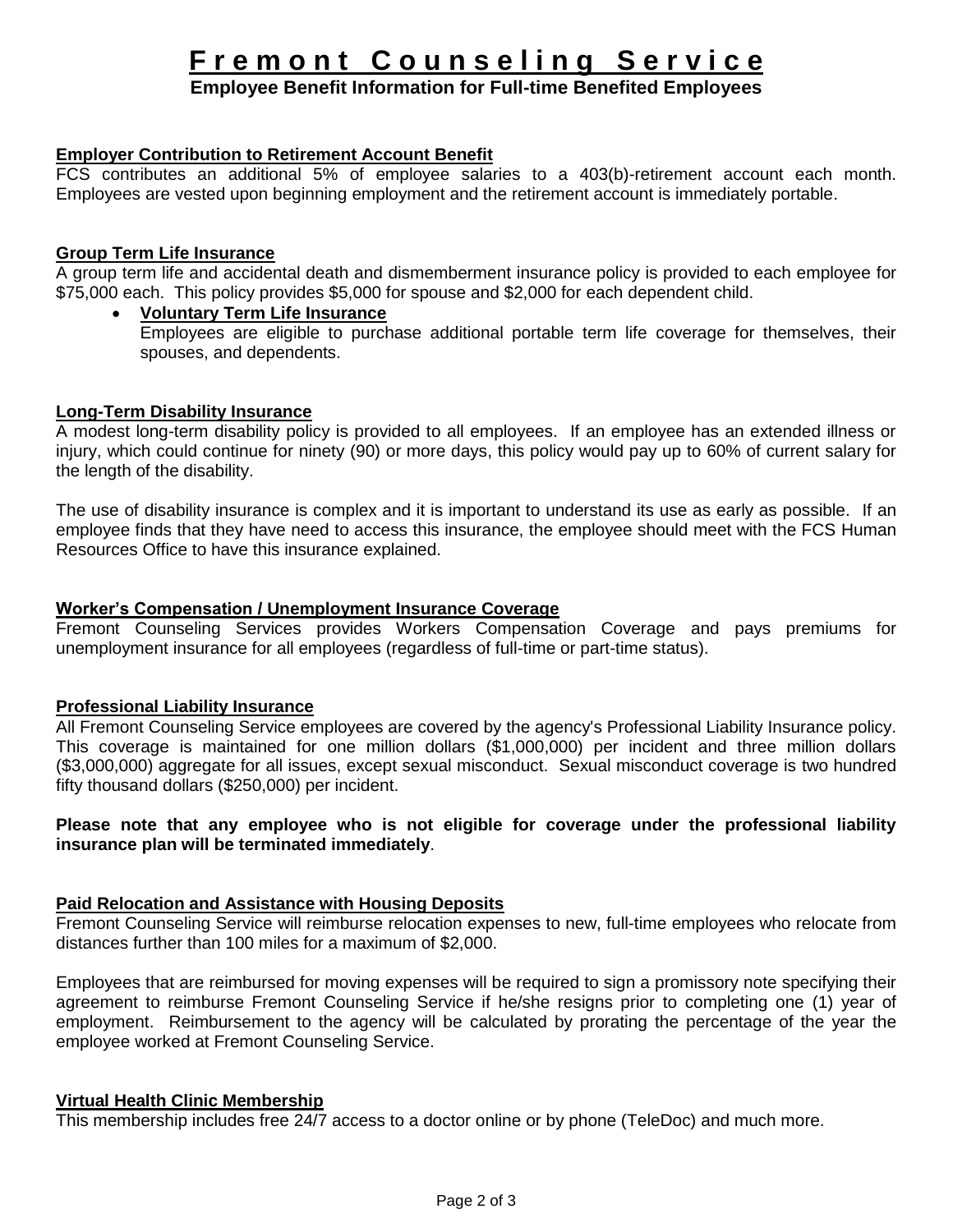# **F r e m o n t C o u n s e l i n g S e r v i c e**

## **Employee Benefit Information for Full-time Benefited Employees**

#### **Employer Contribution to Retirement Account Benefit**

FCS contributes an additional 5% of employee salaries to a 403(b)-retirement account each month. Employees are vested upon beginning employment and the retirement account is immediately portable.

#### **Group Term Life Insurance**

A group term life and accidental death and dismemberment insurance policy is provided to each employee for \$75,000 each. This policy provides \$5,000 for spouse and \$2,000 for each dependent child.

### **Voluntary Term Life Insurance**

Employees are eligible to purchase additional portable term life coverage for themselves, their spouses, and dependents.

#### **Long-Term Disability Insurance**

A modest long-term disability policy is provided to all employees. If an employee has an extended illness or injury, which could continue for ninety (90) or more days, this policy would pay up to 60% of current salary for the length of the disability.

The use of disability insurance is complex and it is important to understand its use as early as possible. If an employee finds that they have need to access this insurance, the employee should meet with the FCS Human Resources Office to have this insurance explained.

#### **Worker's Compensation / Unemployment Insurance Coverage**

Fremont Counseling Services provides Workers Compensation Coverage and pays premiums for unemployment insurance for all employees (regardless of full-time or part-time status).

#### **Professional Liability Insurance**

All Fremont Counseling Service employees are covered by the agency's Professional Liability Insurance policy. This coverage is maintained for one million dollars (\$1,000,000) per incident and three million dollars (\$3,000,000) aggregate for all issues, except sexual misconduct. Sexual misconduct coverage is two hundred fifty thousand dollars (\$250,000) per incident.

#### **Please note that any employee who is not eligible for coverage under the professional liability insurance plan will be terminated immediately**.

#### **Paid Relocation and Assistance with Housing Deposits**

Fremont Counseling Service will reimburse relocation expenses to new, full-time employees who relocate from distances further than 100 miles for a maximum of \$2,000.

Employees that are reimbursed for moving expenses will be required to sign a promissory note specifying their agreement to reimburse Fremont Counseling Service if he/she resigns prior to completing one (1) year of employment. Reimbursement to the agency will be calculated by prorating the percentage of the year the employee worked at Fremont Counseling Service.

#### **Virtual Health Clinic Membership**

This membership includes free 24/7 access to a doctor online or by phone (TeleDoc) and much more.